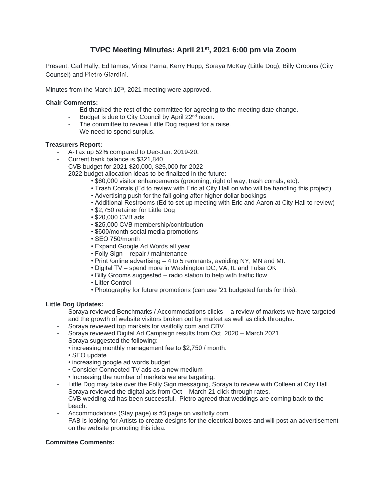# **TVPC Meeting Minutes: April 21st , 2021 6:00 pm via Zoom**

Present: Carl Hally, Ed Iames, Vince Perna, Kerry Hupp, Soraya McKay (Little Dog), Billy Grooms (City Counsel) and Pietro Giardini.

Minutes from the March 10<sup>th</sup>, 2021 meeting were approved.

### **Chair Comments:**

- Ed thanked the rest of the committee for agreeing to the meeting date change.
- Budget is due to City Council by April 22<sup>nd</sup> noon.
- The committee to review Little Dog request for a raise.
- We need to spend surplus.

#### **Treasurers Report:**

- A-Tax up 52% compared to Dec-Jan. 2019-20.
- Current bank balance is \$321,840.
- CVB budget for 2021 \$20,000, \$25,000 for 2022
- 2022 budget allocation ideas to be finalized in the future:
	- \$60,000 visitor enhancements (grooming, right of way, trash corrals, etc).
	- Trash Corrals (Ed to review with Eric at City Hall on who will be handling this project)
	- Advertising push for the fall going after higher dollar bookings
	- Additional Restrooms (Ed to set up meeting with Eric and Aaron at City Hall to review)
	- \$2,750 retainer for Little Dog
	- \$20,000 CVB ads.
	- \$25,000 CVB membership/contribution
	- \$600/month social media promotions
	- SEO 750/month
	- Expand Google Ad Words all year
	- Folly Sign repair / maintenance
	- Print /online advertising 4 to 5 remnants, avoiding NY, MN and MI.
	- Digital TV spend more in Washington DC, VA, IL and Tulsa OK
	- Billy Grooms suggested radio station to help with traffic flow
	- Litter Control
	- Photography for future promotions (can use '21 budgeted funds for this).

#### **Little Dog Updates:**

- Soraya reviewed Benchmarks / Accommodations clicks a review of markets we have targeted and the growth of website visitors broken out by market as well as click throughs.
- Soraya reviewed top markets for visitfolly.com and CBV.
- Soraya reviewed Digital Ad Campaign results from Oct. 2020 March 2021.
- Soraya suggested the following:
	- increasing monthly management fee to \$2,750 / month.
	- SEO update
	- increasing google ad words budget.
	- Consider Connected TV ads as a new medium
	- Increasing the number of markets we are targeting.
- Little Dog may take over the Folly Sign messaging, Soraya to review with Colleen at City Hall.
- Soraya reviewed the digital ads from Oct March 21 click through rates.
- CVB wedding ad has been successful. Pietro agreed that weddings are coming back to the beach.
- Accommodations (Stay page) is #3 page on visitfolly.com
- FAB is looking for Artists to create designs for the electrical boxes and will post an advertisement on the website promoting this idea.

## **Committee Comments:**